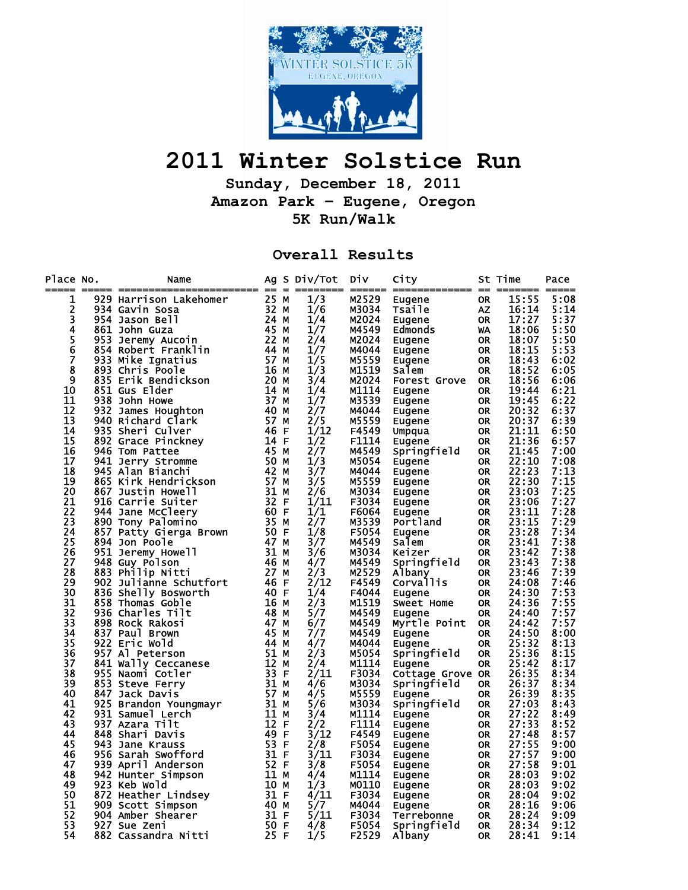

## **2011 Winter Solstice Run**

**Sunday, December 18, 2011 Amazon Park – Eugene, Oregon 5K Run/Walk** 

**Overall Results** 

| Place No.      | Name<br>0. Name 49 September 200 September 445 MM MM MM MSS4 Gavin Sosal 32 MM Marza 45 2 MM MAG 442 MM MAG 442 MM MAG 45 2 MM MAG 45 2 MM MAG 45 2 MM MAG 45 2 MM MM MAG 45 2 MM MM MAG 46 Critic Benember 446 6 200 MM Home 45 2 Se |  | Ag S Div/Tot | Div.  | City                                                                                                                                        |           | St Time  | Pace |
|----------------|---------------------------------------------------------------------------------------------------------------------------------------------------------------------------------------------------------------------------------------|--|--------------|-------|---------------------------------------------------------------------------------------------------------------------------------------------|-----------|----------|------|
| 1              |                                                                                                                                                                                                                                       |  | 1/3          | M2529 | Eugene BR<br>Eugene OR<br>Tsaile OR<br>Edmonds OR<br>Eugene OR<br>Eugene OR<br>Salem OR<br>Salem OR                                         |           | 15:55    | 5:08 |
| 2              |                                                                                                                                                                                                                                       |  | 1/6          | M3034 |                                                                                                                                             |           | 16:14    | 5:14 |
| 3              |                                                                                                                                                                                                                                       |  | 1/4          | M2024 |                                                                                                                                             |           | 17:27    | 5:37 |
|                |                                                                                                                                                                                                                                       |  | 1/7          | M4549 |                                                                                                                                             |           | 18:06    | 5:50 |
| 4567           |                                                                                                                                                                                                                                       |  | 2/4          | M2024 |                                                                                                                                             |           | 18:07    | 5:50 |
|                |                                                                                                                                                                                                                                       |  | 1/7          | M4044 |                                                                                                                                             |           | 18:15    | 5:53 |
|                |                                                                                                                                                                                                                                       |  | 1/5          | M5559 |                                                                                                                                             |           | 18:43    | 6:02 |
| 8              |                                                                                                                                                                                                                                       |  | 1/3          | M1519 | Salem                                                                                                                                       | OR        | 18:52    | 6:05 |
| $\overline{9}$ |                                                                                                                                                                                                                                       |  | 3/4          | M2024 | <b>Forest Grove OR</b>                                                                                                                      |           | 18:56    | 6:06 |
| 10             |                                                                                                                                                                                                                                       |  | 1/4          | M1114 |                                                                                                                                             | <b>OR</b> | 19:44    | 6:21 |
| 11             |                                                                                                                                                                                                                                       |  | 1/7          | M3539 | Eugene OR<br>Eugene OR<br>Eugene OR<br>Umpqua OR<br>Eugene OR<br>Springfall OR<br>Springfall OR<br>Springfall OR                            |           | 19:45    | 6:22 |
| 12             |                                                                                                                                                                                                                                       |  | 2/7          | M4044 |                                                                                                                                             |           | 20:32    | 6:37 |
| 13             |                                                                                                                                                                                                                                       |  | 2/5          | M5559 |                                                                                                                                             |           | 20:37    | 6:39 |
| 14             |                                                                                                                                                                                                                                       |  | 1/12         | F4549 |                                                                                                                                             |           | 21:11    | 6:50 |
| 15             |                                                                                                                                                                                                                                       |  | 1/2          | F1114 |                                                                                                                                             | OR        | 21:36    | 6:57 |
| 16             |                                                                                                                                                                                                                                       |  | 2/7          | M4549 | Springfield OR                                                                                                                              |           | 21:45    | 7:00 |
| 17             |                                                                                                                                                                                                                                       |  | 1/3          | M5054 | Eugene                                                                                                                                      | OR        | 22:10    | 7:08 |
| 18             |                                                                                                                                                                                                                                       |  | 3/7          | M4044 |                                                                                                                                             |           | 22:23    | 7:13 |
| 19             |                                                                                                                                                                                                                                       |  | 3/5          | M5559 |                                                                                                                                             |           | 22:30    | 7:15 |
| 20             |                                                                                                                                                                                                                                       |  | 2/6          | M3034 |                                                                                                                                             |           | 23:03    | 7:25 |
| 21             |                                                                                                                                                                                                                                       |  | 1/11         | F3034 |                                                                                                                                             |           | 23:06    | 7:27 |
| 22             |                                                                                                                                                                                                                                       |  | 1/1          | F6064 | Eugene OR<br>Eugene OR<br>Eugene OR<br>Eugene OR<br>Eugene OR<br>Portland OR<br>Salem CR<br>Salem CR<br>Keizer OR<br>Springfield            |           | 23:11    | 7:28 |
| 23             |                                                                                                                                                                                                                                       |  | 2/7          | M3539 |                                                                                                                                             |           | 23:15    | 7:29 |
| 24             |                                                                                                                                                                                                                                       |  | 1/8          | F5054 |                                                                                                                                             |           | 23:28    | 7:34 |
| 25             |                                                                                                                                                                                                                                       |  | 3/7          | M4549 |                                                                                                                                             |           | 23:41    | 7:38 |
| 26             |                                                                                                                                                                                                                                       |  | 3/6          | M3034 |                                                                                                                                             |           | 23:42    | 7:38 |
| 27             |                                                                                                                                                                                                                                       |  | 4/7          | M4549 | Springfield                                                                                                                                 | OR        | 23:43    | 7:38 |
| 28             |                                                                                                                                                                                                                                       |  | 2/3          | M2529 | Albany                                                                                                                                      | OR        | 23:46    | 7:39 |
| 29             |                                                                                                                                                                                                                                       |  | 2/12         | F4549 | <br>Eugene                                                                                                                                  |           | OR 24:08 | 7:46 |
| 30             |                                                                                                                                                                                                                                       |  | 1/4          | F4044 |                                                                                                                                             | OR        | 24:30    | 7:53 |
| 31             |                                                                                                                                                                                                                                       |  | 2/3          | M1519 | Eugene<br>Sweet Home                                                                                                                        | <b>OR</b> | 24:36    | 7:55 |
| 32             |                                                                                                                                                                                                                                       |  | 5/7          | M4549 | Eugene                                                                                                                                      | <b>OR</b> | 24:40    | 7:57 |
| 33             |                                                                                                                                                                                                                                       |  | 6/7          | M4549 | Myrtle Point OR                                                                                                                             |           | 24:42    | 7:57 |
| 34             |                                                                                                                                                                                                                                       |  | 7/7          | M4549 | Eugene                                                                                                                                      | OR.       | 24:50    | 8:00 |
| 35             |                                                                                                                                                                                                                                       |  | 4/7          | M4044 | Eugene                                                                                                                                      | <b>OR</b> | 25:32    | 8:13 |
| 36             |                                                                                                                                                                                                                                       |  | 2/3          | M5054 | Springfield                                                                                                                                 | 0R        | 25:36    | 8:15 |
| 37             |                                                                                                                                                                                                                                       |  | 2/4          | M1114 | Eugene                                                                                                                                      | <b>OR</b> | 25:42    | 8:17 |
| 38             |                                                                                                                                                                                                                                       |  | 2/11         | F3034 | Cottage Grove OR                                                                                                                            |           | 26:35    | 8:34 |
| 39             |                                                                                                                                                                                                                                       |  | 4/6          | M3034 | Springfield                                                                                                                                 | <b>OR</b> | 26:37    | 8:34 |
| 40             |                                                                                                                                                                                                                                       |  | 4/5          | M5559 | Eugene                                                                                                                                      | 0R        | 26:39    | 8:35 |
| 41             |                                                                                                                                                                                                                                       |  | 5/6          | M3034 | Springfield                                                                                                                                 | OR.       | 27:03    | 8:43 |
| 42             |                                                                                                                                                                                                                                       |  | 3/4          | M1114 | Eugene                                                                                                                                      | OR        | 27:22    | 8:49 |
| 43             |                                                                                                                                                                                                                                       |  | 2/2          | F1114 | Eugene                                                                                                                                      | OR        | 27:33    | 8:52 |
| 44             |                                                                                                                                                                                                                                       |  | 3/12         | F4549 |                                                                                                                                             |           | 27:48    | 8:57 |
| 45             |                                                                                                                                                                                                                                       |  | 2/8          | F5054 |                                                                                                                                             |           | 27:55    | 9:00 |
| 46             |                                                                                                                                                                                                                                       |  | 3/11         | F3034 |                                                                                                                                             |           | 27:57    | 9:00 |
| 47             |                                                                                                                                                                                                                                       |  | 3/8          | F5054 |                                                                                                                                             |           | 27:58    | 9:01 |
| 48             |                                                                                                                                                                                                                                       |  | 4/4          | M1114 |                                                                                                                                             |           | 28:03    | 9:02 |
| 49             |                                                                                                                                                                                                                                       |  | 1/3          | M0110 | Eugene OR<br>Eugene OR<br>Eugene OR<br>Eugene OR<br>Eugene OR<br>Eugene OR<br>Eugene OR<br>Terrebonne OR<br>Terrebonne OR<br>Springfield OR |           | 28:03    | 9:02 |
| 50             |                                                                                                                                                                                                                                       |  | 4/11         | F3034 |                                                                                                                                             |           | 28:04    | 9:02 |
| 51             |                                                                                                                                                                                                                                       |  | 5/7          | M4044 |                                                                                                                                             |           | OR 28:16 | 9:06 |
| 52             |                                                                                                                                                                                                                                       |  | 5/11         | F3034 |                                                                                                                                             | OR        | 28:24    | 9:09 |
| 53             |                                                                                                                                                                                                                                       |  | 4/8          | F5054 | Springfield                                                                                                                                 | <b>OR</b> | 28:34    | 9:12 |
| 54             |                                                                                                                                                                                                                                       |  | 1/5          | F2529 | Albany                                                                                                                                      | <b>OR</b> | 28:41    | 9:14 |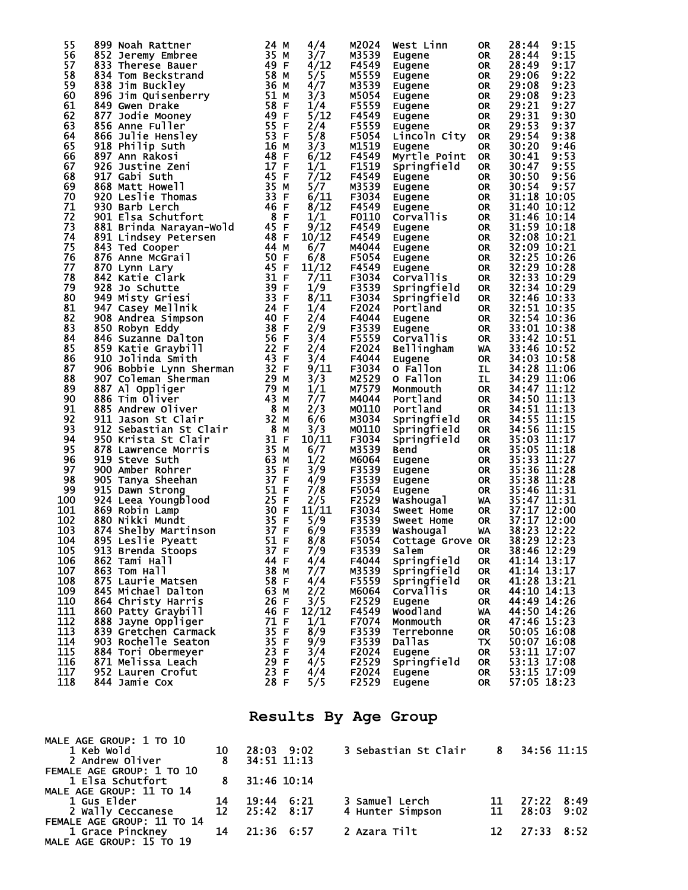| 55  | 899 Noah Rattner        | 24<br>M                      | 4/4   | M2024 | West Linn         | <b>OR</b> | 28:44       | 9:15        |
|-----|-------------------------|------------------------------|-------|-------|-------------------|-----------|-------------|-------------|
| 56  | 852 Jeremy Embree       | 35<br>м                      | 3/7   | M3539 | Eugene            | <b>OR</b> | 28:44       | 9:15        |
| 57  | 833 Therese Bauer       | 49<br>-F                     | 4/12  | F4549 | Eugene            | <b>OR</b> | 28:49       | 9:17        |
| 58  | 834 Tom Beckstrand      | 58<br>м                      | 5/5   | M5559 | Eugene            | <b>OR</b> | 29:06       | 9:22        |
| 59  | 838 Jim Buckley         | 36 M                         | 4/7   | M3539 | Eugene            | <b>OR</b> | 29:08       | 9:23        |
| 60  | 896 Jim Quisenberry     | 51 M                         | 3/3   | M5054 | Eugene            | <b>OR</b> | 29:08       | 9:23        |
| 61  | 849 Gwen Drake          | 58<br>F                      | 1/4   | F5559 | Eugene            | <b>OR</b> | 29:21       | 9:27        |
| 62  | 877 Jodie Mooney        | 49<br>F                      | 5/12  | F4549 | Eugene            | <b>OR</b> | 29:31       | 9:30        |
| 63  | 856 Anne Fuller         | 55<br>F                      | 2/4   | F5559 | Eugene            | <b>OR</b> | 29:53       | 9:37        |
| 64  | 866 Julie Hensley       | 53<br>F                      | 5/8   | F5054 | Lincoln City      | <b>OR</b> | 29:54       | 9:38        |
| 65  | 918 Philip Suth         | 16<br>м                      | 3/3   | M1519 | Eugene            | <b>OR</b> | 30:20       | 9:46        |
| 66  | 897 Ann Rakosi          | 48<br>F                      | 6/12  | F4549 |                   |           | 30:41       | 9:53        |
| 67  |                         | 17                           |       |       | Myrtle Point      | <b>OR</b> | 30:47       |             |
|     | 926 Justine Zeni        | F                            | 1/1   | F1519 | Springfield       | <b>OR</b> |             | 9:55        |
| 68  | 917 Gabi Suth           | 45<br>F                      | 7/12  | F4549 | Eugene            | <b>OR</b> | 30:50       | 9:56        |
| 69  | 868 Matt Howell         | 35<br>M                      | 5/7   | M3539 | Eugene            | <b>OR</b> | 30:54       | 9:57        |
| 70  | 920 Leslie Thomas       | 33<br>F                      | 6/11  | F3034 | Eugene            | <b>OR</b> | 31:18       | 10:05       |
| 71  | 930 Barb Lerch          | 46<br>F                      | 8/12  | F4549 | Eugene            | <b>OR</b> | 31:40       | 10:12       |
| 72  | 901 Elsa Schutfort      | $\overline{\mathbf{8}}$<br>F | 1/1   | F0110 | Corvallis         | <b>OR</b> | 31:46       | 10:14       |
| 73  | 881 Brinda Narayan-Wold | 45<br>F                      | 9/12  | F4549 | Eugene            | <b>OR</b> | 31:59       | 10:18       |
| 74  | 891 Lindsey Petersen    | 48<br>$\mathsf F$            | 10/12 | F4549 | Eugene            | <b>OR</b> | 32:08       | 10:21       |
| 75  | 843 Ted Cooper          | 44<br>м                      | 6/7   | M4044 | Eugene            | <b>OR</b> | 32:09       | 10:21       |
| 76  | 876 Anne McGrail        | 50<br>F                      | 6/8   | F5054 | Eugene            | <b>OR</b> | 32:25       | 10:26       |
| 77  | 870 Lynn Lary           | 45<br>F                      | 11/12 | F4549 | Eugene            | <b>OR</b> | 32:29       | 10:28       |
| 78  | 842 Katie Clark         | 31<br>F                      | 7/11  | F3034 | <b>Corvallis</b>  | <b>OR</b> | 32:33       | 10:29       |
| 79  | 928 Jo Schutte          | 39<br>F                      | 1/9   | F3539 | Springfield       | <b>OR</b> | 32:34       | 10:29       |
| 80  | 949 Misty Griesi        | 33<br>F                      | 8/11  | F3034 | Springfield       | <b>OR</b> |             | 32:46 10:33 |
| 81  | 947 Casey Mellnik       | 24<br>F                      | 1/4   | F2024 | Portland          | <b>OR</b> |             | 32:51 10:35 |
| 82  | 908 Andrea Simpson      | 40<br>F                      | 2/4   | F4044 |                   | <b>OR</b> |             | 32:54 10:36 |
|     |                         | 38                           |       |       | Eugene            |           |             |             |
| 83  | 850 Robyn Eddy          | F                            | 2/9   | F3539 | Eugene            | <b>OR</b> |             | 33:01 10:38 |
| 84  | 846 Suzanne Dalton      | 56<br>F                      | 3/4   | F5559 | <b>Corvallis</b>  | <b>OR</b> |             | 33:42 10:51 |
| 85  | 859 Katie Graybill      | 22<br>F                      | 2/4   | F2024 | <b>Bellingham</b> | WA        |             | 33:46 10:52 |
| 86  | 910 Jolinda Smith       | 43<br>$\mathsf F$            | 3/4   | F4044 | Eugene            | <b>OR</b> |             | 34:03 10:58 |
| 87  | 906 Bobbie Lynn Sherman | 32 F                         | 9/11  | F3034 | O Fallon          | IL        |             | 34:28 11:06 |
| 88  | 907 Coleman Sherman     | 29<br>М                      | 3/3   | M2529 | O Fallon          | IL        |             | 34:29 11:06 |
| 89  | 887 Al Oppliger         | 79<br>М                      | 1/1   | M7579 | Monmouth          | <b>OR</b> |             | 34:47 11:12 |
| 90  | 886 Tim Oliver          | 43<br>М                      | 7/7   | M4044 | Portland          | <b>OR</b> |             | 34:50 11:13 |
| 91  | 885 Andrew Oliver       | - 8<br>М                     | 2/3   | M0110 | Portland          | <b>OR</b> | 34:51 11:13 |             |
| 92  | 911 Jason St Clair      | 32<br>М                      | 6/6   | M3034 | Springfield       | <b>OR</b> |             | 34:55 11:15 |
| 93  | 912 Sebastian St Clair  | $_{\rm 8}$<br>м              | 3/3   | M0110 | Springfield       | <b>OR</b> |             | 34:56 11:15 |
| 94  | 950 Krista St Clair     | 31<br>F                      | 10/11 | F3034 | Springfield       | <b>OR</b> |             | 35:03 11:17 |
| 95  | 878 Lawrence Morris     | 35<br>м                      | 6/7   | M3539 | Bend              | <b>OR</b> |             | 35:05 11:18 |
| 96  | 919 Steve Suth          | 63<br>М                      | 1/2   | M6064 | Eugene            | <b>OR</b> | 35:33       | 11:27       |
| 97  | 900 Amber Rohrer        | 35<br>F                      | 3/9   | F3539 | Eugene            | <b>OR</b> | 35:36       | 11:28       |
| 98  |                         | 37<br>F                      | 4/9   | F3539 |                   | <b>OR</b> | 35:38       | 11:28       |
|     | 905 Tanya Sheehan       | 51                           | 7/8   |       | Eugene            |           |             |             |
| 99  | 915 Dawn Strong         | F                            |       | F5054 | Eugene            | <b>OR</b> |             | 35:46 11:31 |
| 100 | 924 Leea Youngblood     | 25<br>F                      | 2/5   | F2529 | Washougal         | WA        | 35:47       | 11:31       |
| 101 | 869 Robin Lamp          | 30<br>F                      | 11/11 | F3034 | Sweet Home        | <b>OR</b> | 37:17       | 12:00       |
| 102 | 880 Nikki Mundt         | 35<br>F                      | 5/9   | F3539 | Sweet Home        | <b>OR</b> | 37:17       | 12:00       |
| 103 | 874 Shelby Martinson    | 37<br>F                      | 6/9   | F3539 | Washougal         | WA        | 38:23       | 12:22       |
| 104 | 895 Leslie Pyeatt       | 51<br>F                      | 8/8   | F5054 | Cottage Grove OR  |           | 38:29       | 12:23       |
| 105 | 913 Brenda Stoops       | 37 F                         | 7/9   | F3539 | Salem             | <b>OR</b> |             | 38:46 12:29 |
| 106 | 862 Tami Hall           | 44<br>F                      | 4/4   | F4044 | Springfield       | <b>OR</b> | 41:14 13:17 |             |
| 107 | 863 Tom Hall            | 38 M                         | 7/7   | M3539 | Springfield       | 0R        | 41:14 13:17 |             |
| 108 | 875 Laurie Matsen       | 58<br>F                      | 4/4   | F5559 | Springfield       | <b>OR</b> | 41:28 13:21 |             |
| 109 | 845 Michael Dalton      | 63<br>м                      | 2/2   | M6064 | Corvallis         | <b>OR</b> | 44:10 14:13 |             |
| 110 | 864 Christy Harris      | 26<br>F                      | 3/5   | F2529 | Eugene            | <b>OR</b> | 44:49 14:26 |             |
| 111 | 860 Patty Graybill      | 46<br>F                      | 12/12 | F4549 | <b>Woodland</b>   | WA        | 44:50 14:26 |             |
| 112 | 888 Jayne Oppliger      | 71<br>F                      | 1/1   | F7074 | Monmouth          | <b>OR</b> | 47:46 15:23 |             |
| 113 | 839 Gretchen Carmack    | 35<br>F                      | 8/9   | F3539 | Terrebonne        | <b>OR</b> |             | 50:05 16:08 |
| 114 |                         | 35                           |       |       |                   |           |             |             |
|     | 903 Rochelle Seaton     | F                            | 9/9   | F3539 | <b>Dallas</b>     | TX        |             | 50:07 16:08 |
| 115 | 884 Tori Obermeyer      | 23<br>F                      | 3/4   | F2024 | Eugene            | <b>OR</b> |             | 53:11 17:07 |
| 116 | 871 Melissa Leach       | 29<br>F                      | 4/5   | F2529 | Springfield       | <b>OR</b> |             | 53:13 17:08 |
| 117 | 952 Lauren Crofut       | 23<br>F                      | 4/4   | F2024 | Eugene            | <b>OR</b> |             | 53:15 17:09 |
| 118 | 844 Jamie Cox           | 28<br>F                      | 5/5   | F2529 | Eugene            | <b>OR</b> |             | 57:05 18:23 |

## **Results By Age Group**

| MALE AGE GROUP: 1 TO 10<br>1 Keb Wold<br>2 Andrew Oliver<br>FEMALE AGE GROUP: 1 TO 10<br>1 Elsa Schutfort<br>MALE AGE GROUP: 11 TO 14 | 10<br>8<br>8.           | 28:03 9:02<br>34:51 11:13<br>31:46 10:14 |      | 3 Sebastian St Clair               | 8.       | 34:56 11:15         |      |
|---------------------------------------------------------------------------------------------------------------------------------------|-------------------------|------------------------------------------|------|------------------------------------|----------|---------------------|------|
| <b>1 Gus Elder</b><br>2 Wally Ceccanese                                                                                               | 14<br>$12 \overline{ }$ | 19:44<br>25:42 8:17                      | 6:21 | 3 Samuel Lerch<br>4 Hunter Simpson | 11<br>11 | 27:22 8:49<br>28:03 | 9:02 |
| FEMALE AGE GROUP: 11 TO 14<br>1 Grace Pinckney<br>MALE AGE GROUP: 15 TO 19                                                            | 14                      | 21:36 6:57                               |      | 2 Azara Tilt                       | 12       | 27:33 8:52          |      |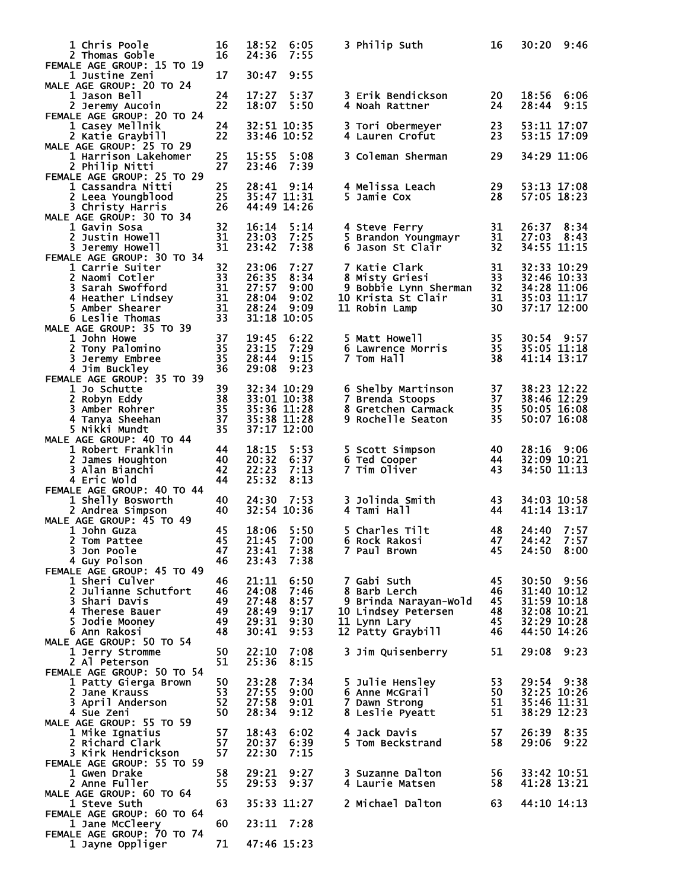| <b>1 Chris Poole</b><br>2 Thomas Goble                              | 16<br>16       | 18:52<br>24:36             | 6:05<br>7:55                | 3 Philip Suth                           | 16        | 30:20                        | 9:46         |
|---------------------------------------------------------------------|----------------|----------------------------|-----------------------------|-----------------------------------------|-----------|------------------------------|--------------|
| FEMALE AGE GROUP: 15 TO 19<br>1 Justine Zeni                        | 17             | 30:47                      | 9:55                        |                                         |           |                              |              |
| MALE AGE GROUP: 20 TO 24<br>1 Jason Bell<br>2 Jeremy Aucoin         | 24<br>22       | 17:27<br>18:07             | 5:37<br>5:50                | 3 Erik Bendickson<br>4 Noah Rattner     | 20<br>24  | 18:56 6:06<br>28:44          | 9:15         |
| FEMALE AGE GROUP: 20 TO 24<br>1 Casey Mellnik<br>2 Katie Graybill   | 24<br>22       |                            | 32:51 10:35<br>33:46 10:52  | 3 Tori Obermeyer<br>4 Lauren Crofut     | 23<br>23  | 53:11 17:07<br>53:15 17:09   |              |
| MALE AGE GROUP: 25 TO 29<br>1 Harrison Lakehomer                    | 25             | 15:55                      | 5:08                        | 3 Coleman Sherman                       | 29        | 34:29 11:06                  |              |
| 2 Philip Nitti<br>FEMALE AGE GROUP: 25 TO 29<br>1 Cassandra Nitti   | 27<br>25       | 23:46<br>28:41             | 7:39<br>9:14                | 4 Melissa Leach                         | 29        | 53:13 17:08                  |              |
| 2 Leea Youngblood<br>3 Christy Harris<br>MALE AGE GROUP: 30 TO 34   | 25<br>26       | 44:49 14:26                | 35:47 11:31                 | 5 Jamie Cox                             | 28        | 57:05 18:23                  |              |
| 1 Gavin Sosa<br>2 Justin Howell                                     | 32<br>31       | 16:14<br>23:03             | 5:14<br>7:25                | 4 Steve Ferry<br>5 Brandon Youngmayr    | 31<br>31  | 26:37<br>27:03               | 8:34<br>8:43 |
| 3 Jeremy Howell<br>FEMALE AGE GROUP: 30 TO 34<br>1 Carrie Suiter    | 31<br>32       | 23:42<br>23:06             | 7:38<br>7:27                | 6 Jason St Clair<br>7 Katie Clark       | 32<br>31  | 34:55 11:15<br>32:33 10:29   |              |
| 2 Naomi Cotler<br>3 Sarah Swofford                                  | 33<br>31       | 26:35<br>27:57             | 8:34<br>9:00                | 8 Misty Griesi<br>9 Bobbie Lynn Sherman | 33<br>32  | 32:46 10:33<br>34:28 11:06   |              |
| 4 Heather Lindsey<br>5 Amber Shearer<br>6 Leslie Thomas             | 31<br>31<br>33 | 28:04<br>28:24             | 9:02<br>9:09<br>31:18 10:05 | 10 Krista St Clair<br>11 Robin Lamp     | 31<br>30  | 35:03 11:17<br>$37:17$ 12:00 |              |
| MALE AGE GROUP: 35 TO 39<br>1 John Howe                             | 37             | 19:45                      | 6:22                        | 5 Matt Howell                           | 35        | 30:54 9:57                   |              |
| 2 Tony Palomino<br>3 Jeremy Embree                                  | 35<br>35       | 23:15<br>28:44             | 7:29<br>9:15                | 6 Lawrence Morris<br>7 Tom Hall         | 35<br>38  | 35:05 11:18<br>41:14 13:17   |              |
| 4 Jim Buckley<br>FEMALE AGE GROUP: 35 TO 39<br>1 Jo Schutte         | 36<br>39       | 29:08                      | 9:23<br>32:34 10:29         | 6 Shelby Martinson                      | 37        | 38:23 12:22                  |              |
| 2 Robyn Eddy<br>3 Amber Rohrer                                      | 38<br>35       | 33:01 10:38<br>35:36 11:28 |                             | 7 Brenda Stoops<br>8 Gretchen Carmack   | 37<br>35  | 38:46 12:29<br>50:05 16:08   |              |
| 4 Tanya Sheehan<br>5 Nikki Mundt<br>MALE AGE GROUP: 40 TO 44        | 37<br>35       | 35:38 11:28                | 37:17 12:00                 | 9 Rochelle Seaton                       | 35        | 50:07 16:08                  |              |
| 1 Robert Franklin<br>2 James Houghton                               | 44<br>40       | 18:15<br>20:32             | 5:53<br>6:37                | 5 Scott Simpson<br>6 Ted Cooper         | 40<br>44  | 28:16 9:06<br>32:09 10:21    |              |
| 3 Alan Bianchi<br>4 Eric Wold                                       | 42<br>44       | 22:23<br>25:32             | 7:13<br>8:13                | 7 Tim Oliver                            | 43        | 34:50 11:13                  |              |
| FEMALE AGE GROUP: 40 TO 44<br>1 Shelly Bosworth<br>2 Andrea Simpson | 40<br>40       | 24:30                      | 7:53<br>32:54 10:36         | 3 Jolinda Smith<br>4 Tami Hall          | 43<br>44  | 34:03 10:58<br>41:14 13:17   |              |
| MALE AGE GROUP: 45 TO 49<br>1 John Guza                             | 45             | 18:06                      | 5:50                        | 5 Charles Tilt                          | 48        | 24:40                        | 7:57         |
| 2 Tom Pattee<br>3 Jon Poole                                         | 45<br>47       | 21:45 7:00<br>23:41 7:38   |                             | 6 Rock Rakosi<br>7 Paul Brown           | 47<br>45  | 24:42 7:57<br>24:50 8:00     |              |
| 4 Guy Polson<br>FEMALE AGE GROUP: 45 TO 49                          | 46             | 23:43                      | 7:38                        |                                         |           |                              |              |
| 1 Sheri Culver<br>2 Julianne Schutfort                              | 46<br>46       | 21:11<br>24:08             | 6:50<br>7:46                | 7 Gabi Suth<br>8 Barb Lerch             | 45<br>-46 | 30:50 9:56<br>31:40 10:12    |              |
| 3 Shari Davis                                                       | 49             | 27:48                      | 8:57                        | 9 Brinda Narayan-Wold                   | - 45      | 31:59 10:18                  |              |
| 4 Therese Bauer<br>5 Jodie Mooney                                   | 49<br>49       | 28:49<br>29:31             | 9:17<br>9:30                | 10 Lindsey Petersen 48<br>11 Lynn Lary  | - 45      | 32:08 10:21<br>32:29 10:28   |              |
| 6 Ann Rakosi                                                        | 48             | 30:41                      | 9:53                        | 12 Patty Graybill 46                    |           | 44:50 14:26                  |              |
| MALE AGE GROUP: 50 TO 54<br>1 Jerry Stromme                         | 50             | 22:10                      | 7:08                        | 3 Jim Quisenberry                       | 51        | 29:08                        | 9:23         |
| 2 Al Peterson                                                       | 51             | 25:36                      | 8:15                        |                                         |           |                              |              |
| FEMALE AGE GROUP: 50 TO 54<br>1 Patty Gierga Brown                  | 50             | 23:28                      | 7:34                        | 5 Julie Hensley                         | 53        | 29:54 9:38                   |              |
| 2 Jane Krauss                                                       | 53<br>52       | 27:55<br>27:58             | 9:00<br>9:01                | 6 Anne McGrail                          | 50<br>51  | 32:25 10:26<br>35:46 11:31   |              |
| 3 April Anderson<br>4 Sue Zeni                                      | 50             | 28:34                      | 9:12                        | 7 Dawn Strong<br>8 Leslie Pyeătt        | 51        | 38:29 12:23                  |              |
| MALE AGE GROUP: 55 TO 59<br>1 Mike Ignatius                         | 57             | 18:43                      | 6:02                        | 4 Jack Davis                            | 57        | 26:39 8:35                   |              |
| 2 Richard Clark<br>3 Kirk Hendrickson                               | 57<br>57       | 20:37<br>22:30             | 6:39<br>7:15                | 5 Tom Beckstrand                        | 58        | 29:06                        | 9:22         |
| FEMALE AGE GROUP: 55 TO 59<br>1 Gwen Drake                          | 58             | 29:21                      | 9:27                        | 3 Suzanne Dalton                        | 56        | 33:42 10:51                  |              |
| 2 Anne Fuller<br>MALE AGE GROUP: 60 TO 64                           | 55             | 29:53                      | 9:37                        | 4 Laurie Matsen                         | 58        | 41:28 13:21                  |              |
| 1 Steve Suth<br>FEMALE AGE GROUP: 60 TO 64                          | 63             |                            | 35:33 11:27                 | 2 Michael Dalton                        | 63        | 44:10 14:13                  |              |
| 1 Jane McCleery<br>FEMALE AGE GROUP: 70 TO 74                       | 60             | 23:11 7:28                 |                             |                                         |           |                              |              |
| 1 Jayne Oppliger                                                    | 71             | 47:46 15:23                |                             |                                         |           |                              |              |